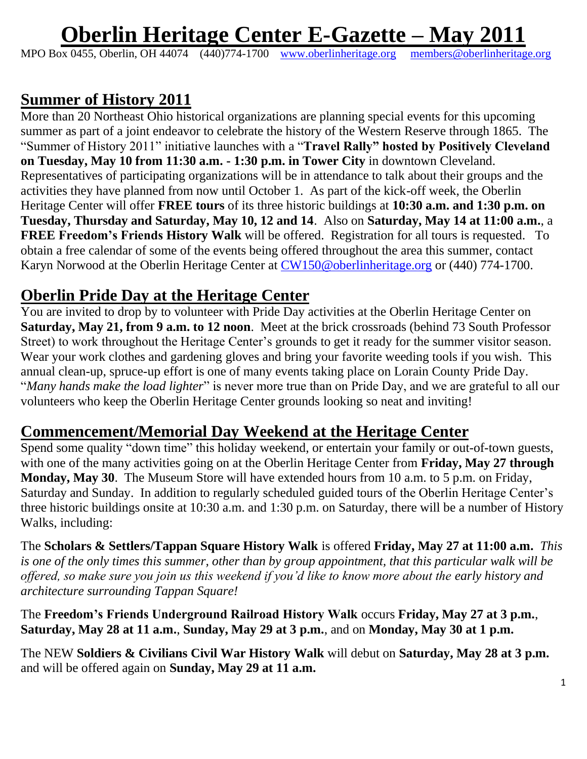# **Oberlin Heritage Center E-Gazette – May 2011**

MPO Box 0455, Oberlin, OH 44074 (440)774-1700 [www.oberlinheritage.org](http://www.oberlinheritage.org/) [members@oberlinheritage.org](mailto:members@oberlinheritage.org)

#### **Summer of History 2011**

More than 20 Northeast Ohio historical organizations are planning special events for this upcoming summer as part of a joint endeavor to celebrate the history of the Western Reserve through 1865. The "Summer of History 2011" initiative launches with a "**Travel Rally" hosted by Positively Cleveland on Tuesday, May 10 from 11:30 a.m. - 1:30 p.m. in Tower City** in downtown Cleveland. Representatives of participating organizations will be in attendance to talk about their groups and the activities they have planned from now until October 1. As part of the kick-off week, the Oberlin Heritage Center will offer **FREE tours** of its three historic buildings at **10:30 a.m. and 1:30 p.m. on Tuesday, Thursday and Saturday, May 10, 12 and 14**. Also on **Saturday, May 14 at 11:00 a.m.**, a **FREE Freedom's Friends History Walk** will be offered. Registration for all tours is requested. To obtain a free calendar of some of the events being offered throughout the area this summer, contact Karyn Norwood at the Oberlin Heritage Center at [CW150@oberlinheritage.org](mailto:CW150@oberlinheritage.org) or (440) 774-1700.

#### **Oberlin Pride Day at the Heritage Center**

You are invited to drop by to volunteer with Pride Day activities at the Oberlin Heritage Center on **Saturday, May 21, from 9 a.m. to 12 noon**. Meet at the brick crossroads (behind 73 South Professor Street) to work throughout the Heritage Center's grounds to get it ready for the summer visitor season. Wear your work clothes and gardening gloves and bring your favorite weeding tools if you wish. This annual clean-up, spruce-up effort is one of many events taking place on Lorain County Pride Day. "*Many hands make the load lighter*" is never more true than on Pride Day, and we are grateful to all our volunteers who keep the Oberlin Heritage Center grounds looking so neat and inviting!

#### **Commencement/Memorial Day Weekend at the Heritage Center**

Spend some quality "down time" this holiday weekend, or entertain your family or out-of-town guests, with one of the many activities going on at the Oberlin Heritage Center from **Friday, May 27 through Monday, May 30**. The Museum Store will have extended hours from 10 a.m. to 5 p.m. on Friday, Saturday and Sunday. In addition to regularly scheduled guided tours of the Oberlin Heritage Center's three historic buildings onsite at 10:30 a.m. and 1:30 p.m. on Saturday, there will be a number of History Walks, including:

The **Scholars & Settlers/Tappan Square History Walk** is offered **Friday, May 27 at 11:00 a.m.** *This is one of the only times this summer, other than by group appointment, that this particular walk will be offered, so make sure you join us this weekend if you'd like to know more about the early history and architecture surrounding Tappan Square!*

The **Freedom's Friends Underground Railroad History Walk** occurs **Friday, May 27 at 3 p.m.**, **Saturday, May 28 at 11 a.m.**, **Sunday, May 29 at 3 p.m.**, and on **Monday, May 30 at 1 p.m.**

The NEW **Soldiers & Civilians Civil War History Walk** will debut on **Saturday, May 28 at 3 p.m.** and will be offered again on **Sunday, May 29 at 11 a.m.**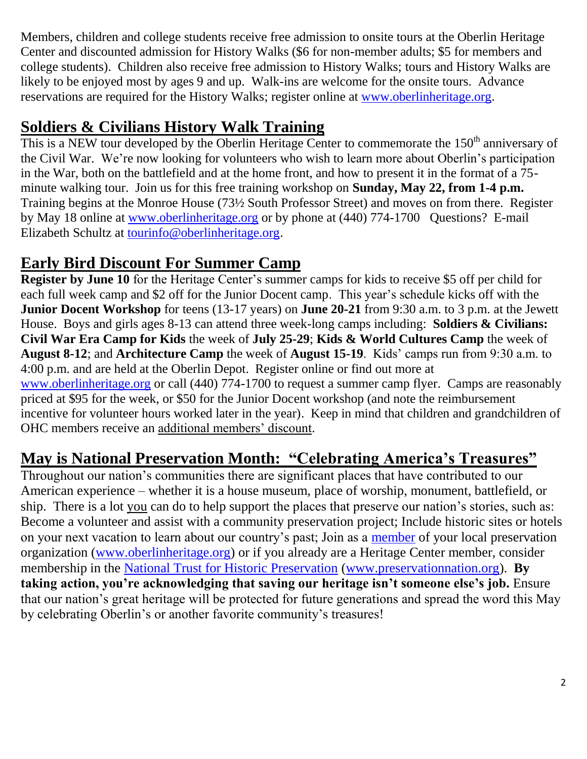Members, children and college students receive free admission to onsite tours at the Oberlin Heritage Center and discounted admission for History Walks (\$6 for non-member adults; \$5 for members and college students). Children also receive free admission to History Walks; tours and History Walks are likely to be enjoyed most by ages 9 and up. Walk-ins are welcome for the onsite tours. Advance reservations are required for the History Walks; register online at [www.oberlinheritage.org.](http://www.oberlinheritage.org/)

#### **Soldiers & Civilians History Walk Training**

This is a NEW tour developed by the Oberlin Heritage Center to commemorate the  $150<sup>th</sup>$  anniversary of the Civil War. We"re now looking for volunteers who wish to learn more about Oberlin"s participation in the War, both on the battlefield and at the home front, and how to present it in the format of a 75 minute walking tour. Join us for this free training workshop on **Sunday, May 22, from 1-4 p.m.** Training begins at the Monroe House (73½ South Professor Street) and moves on from there. Register by May 18 online at [www.oberlinheritage.org](http://www.oberlinheritage.org/) or by phone at (440) 774-1700 Questions? E-mail Elizabeth Schultz at [tourinfo@oberlinheritage.org.](mailto:tourinfo@oberlinheritage.org)

### **Early Bird Discount For Summer Camp**

**Register by June 10** for the Heritage Center's summer camps for kids to receive \$5 off per child for each full week camp and \$2 off for the Junior Docent camp. This year's schedule kicks off with the **Junior Docent Workshop** for teens (13-17 years) on **June 20-21** from 9:30 a.m. to 3 p.m. at the Jewett House. Boys and girls ages 8-13 can attend three week-long camps including: **Soldiers & Civilians: Civil War Era Camp for Kids** the week of **July 25-29**; **Kids & World Cultures Camp** the week of **August 8-12**; and **Architecture Camp** the week of **August 15-19**. Kids" camps run from 9:30 a.m. to 4:00 p.m. and are held at the Oberlin Depot. Register online or find out more at [www.oberlinheritage.org](http://www.oberlinheritage.org/) or call (440) 774-1700 to request a summer camp flyer. Camps are reasonably priced at \$95 for the week, or \$50 for the Junior Docent workshop (and note the reimbursement incentive for volunteer hours worked later in the year). Keep in mind that children and grandchildren of OHC members receive an additional members' discount.

# **May is National Preservation Month: "Celebrating America's Treasures"**

Throughout our nation"s communities there are significant places that have contributed to our American experience – whether it is a house museum, place of worship, monument, battlefield, or ship. There is a lot you can do to help support the places that preserve our nation's stories, such as: Become a volunteer and assist with a community preservation project; Include historic sites or hotels on your next vacation to learn about our country"s past; Join as a [member](http://www.oberlinheritage.org/getinvolved/join) of your local preservation organization [\(www.oberlinheritage.org\)](http://www.oberlinheritage.org/) or if you already are a Heritage Center member, consider membership in the [National Trust for Historic Preservation](https://secure2.convio.net/nthp/site/Donation2?df_id=6281&6281.donation=form1) [\(www.preservationnation.org\)](http://www.preservationnation.org/). **By taking action, you're acknowledging that saving our heritage isn't someone else's job.** Ensure that our nation"s great heritage will be protected for future generations and spread the word this May by celebrating Oberlin"s or another favorite community"s treasures!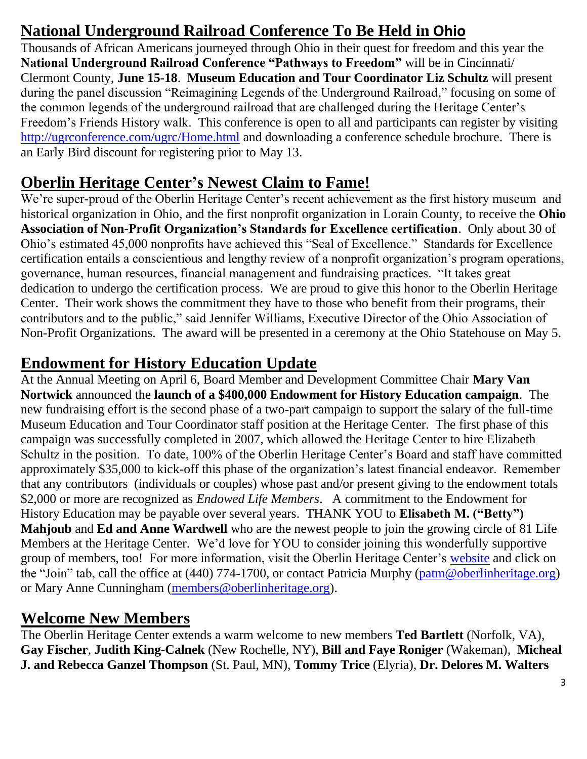# **National Underground Railroad Conference To Be Held in Ohio**

Thousands of African Americans journeyed through Ohio in their quest for freedom and this year the **National Underground Railroad Conference "Pathways to Freedom"** will be in Cincinnati/ Clermont County, **June 15-18**. **Museum Education and Tour Coordinator Liz Schultz** will present during the panel discussion "Reimagining Legends of the Underground Railroad," focusing on some of the common legends of the underground railroad that are challenged during the Heritage Center"s Freedom"s Friends History walk. This conference is open to all and participants can register by visiting <http://ugrconference.com/ugrc/Home.html> and downloading a conference schedule brochure. There is an Early Bird discount for registering prior to May 13.

### **Oberlin Heritage Center's Newest Claim to Fame!**

We're super-proud of the Oberlin Heritage Center's recent achievement as the first history museum and historical organization in Ohio, and the first nonprofit organization in Lorain County, to receive the **Ohio Association of Non-Profit Organization's Standards for Excellence certification**. Only about 30 of Ohio"s estimated 45,000 nonprofits have achieved this "Seal of Excellence." Standards for Excellence certification entails a conscientious and lengthy review of a nonprofit organization"s program operations, governance, human resources, financial management and fundraising practices. "It takes great dedication to undergo the certification process. We are proud to give this honor to the Oberlin Heritage Center. Their work shows the commitment they have to those who benefit from their programs, their contributors and to the public," said Jennifer Williams, Executive Director of the Ohio Association of Non-Profit Organizations. The award will be presented in a ceremony at the Ohio Statehouse on May 5.

## **Endowment for History Education Update**

At the Annual Meeting on April 6, Board Member and Development Committee Chair **Mary Van Nortwick** announced the **launch of a \$400,000 Endowment for History Education campaign**. The new fundraising effort is the second phase of a two-part campaign to support the salary of the full-time Museum Education and Tour Coordinator staff position at the Heritage Center. The first phase of this campaign was successfully completed in 2007, which allowed the Heritage Center to hire Elizabeth Schultz in the position. To date, 100% of the Oberlin Heritage Center's Board and staff have committed approximately \$35,000 to kick-off this phase of the organization"s latest financial endeavor. Remember that any contributors (individuals or couples) whose past and/or present giving to the endowment totals \$2,000 or more are recognized as *Endowed Life Members*. A commitment to the Endowment for History Education may be payable over several years. THANK YOU to **Elisabeth M. ("Betty") Mahjoub** and **Ed and Anne Wardwell** who are the newest people to join the growing circle of 81 Life Members at the Heritage Center. We"d love for YOU to consider joining this wonderfully supportive group of members, too! For more information, visit the Oberlin Heritage Center's [website](http://www.oberlinheritage.org/getinvolved/join) and click on the "Join" tab, call the office at (440) 774-1700, or contact Patricia Murphy [\(patm@oberlinheritage.org\)](mailto:patm@oberlinheritage.org) or Mary Anne Cunningham [\(members@oberlinheritage.org\)](mailto:members@oberlinheritage.org).

### **Welcome New Members**

The Oberlin Heritage Center extends a warm welcome to new members **Ted Bartlett** (Norfolk, VA), **Gay Fischer**, **Judith King-Calnek** (New Rochelle, NY), **Bill and Faye Roniger** (Wakeman), **Micheal J. and Rebecca Ganzel Thompson** (St. Paul, MN), **Tommy Trice** (Elyria), **Dr. Delores M. Walters**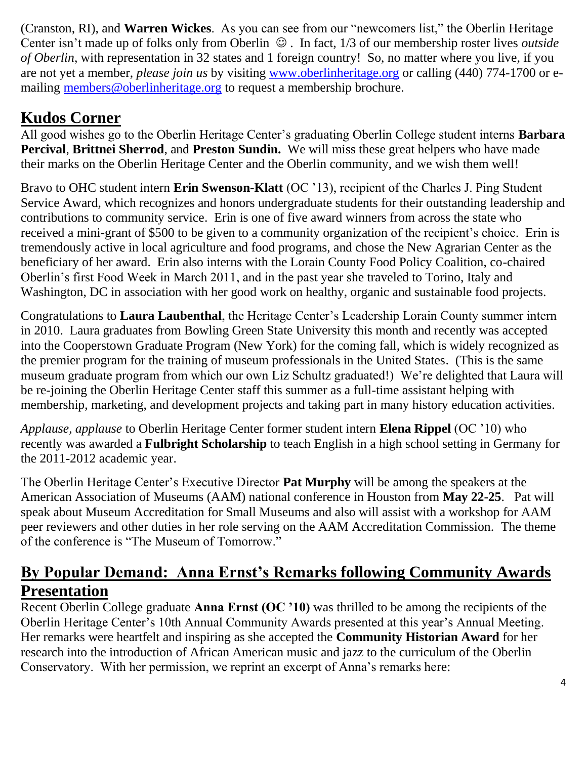(Cranston, RI), and **Warren Wickes**. As you can see from our "newcomers list," the Oberlin Heritage Center isn't made up of folks only from Oberlin  $\odot$ . In fact, 1/3 of our membership roster lives *outside of Oberlin*, with representation in 32 states and 1 foreign country! So, no matter where you live, if you are not yet a member, *please join us* by visiting [www.oberlinheritage.org](http://www.oberlinheritage.org/) or calling (440) 774-1700 or emailing [members@oberlinheritage.org](mailto:members@oberlinheritage.org) to request a membership brochure.

#### **Kudos Corner**

All good wishes go to the Oberlin Heritage Center"s graduating Oberlin College student interns **Barbara Percival**, **Brittnei Sherrod**, and **Preston Sundin.** We will miss these great helpers who have made their marks on the Oberlin Heritage Center and the Oberlin community, and we wish them well!

Bravo to OHC student intern **Erin Swenson-Klatt** (OC "13), recipient of the Charles J. Ping Student Service Award, which recognizes and honors undergraduate students for their outstanding leadership and contributions to community service. Erin is one of five award winners from across the state who received a mini-grant of \$500 to be given to a community organization of the recipient's choice. Erin is tremendously active in local agriculture and food programs, and chose the New Agrarian Center as the beneficiary of her award. Erin also interns with the Lorain County Food Policy Coalition, co-chaired Oberlin"s first Food Week in March 2011, and in the past year she traveled to Torino, Italy and Washington, DC in association with her good work on healthy, organic and sustainable food projects.

Congratulations to **Laura Laubenthal**, the Heritage Center"s Leadership Lorain County summer intern in 2010. Laura graduates from Bowling Green State University this month and recently was accepted into the Cooperstown Graduate Program (New York) for the coming fall, which is widely recognized as the premier program for the training of museum professionals in the United States. (This is the same museum graduate program from which our own Liz Schultz graduated!) We"re delighted that Laura will be re-joining the Oberlin Heritage Center staff this summer as a full-time assistant helping with membership, marketing, and development projects and taking part in many history education activities.

*Applause, applause* to Oberlin Heritage Center former student intern **Elena Rippel** (OC "10) who recently was awarded a **Fulbright Scholarship** to teach English in a high school setting in Germany for the 2011-2012 academic year.

The Oberlin Heritage Center"s Executive Director **Pat Murphy** will be among the speakers at the American Association of Museums (AAM) national conference in Houston from **May 22-25**. Pat will speak about Museum Accreditation for Small Museums and also will assist with a workshop for AAM peer reviewers and other duties in her role serving on the AAM Accreditation Commission. The theme of the conference is "The Museum of Tomorrow."

### **By Popular Demand: Anna Ernst's Remarks following Community Awards Presentation**

Recent Oberlin College graduate **Anna Ernst (OC '10)** was thrilled to be among the recipients of the Oberlin Heritage Center"s 10th Annual Community Awards presented at this year"s Annual Meeting. Her remarks were heartfelt and inspiring as she accepted the **Community Historian Award** for her research into the introduction of African American music and jazz to the curriculum of the Oberlin Conservatory. With her permission, we reprint an excerpt of Anna"s remarks here: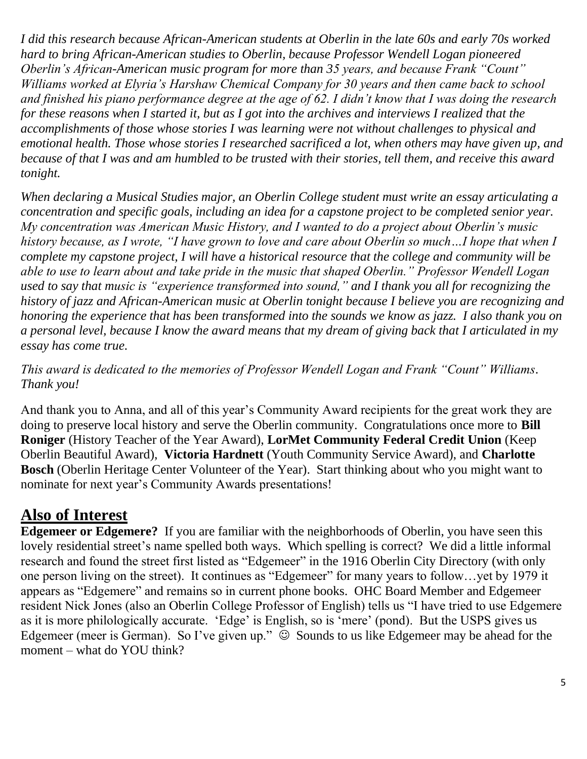*I did this research because African-American students at Oberlin in the late 60s and early 70s worked hard to bring African-American studies to Oberlin, because Professor Wendell Logan pioneered Oberlin's African-American music program for more than 35 years, and because Frank "Count" Williams worked at Elyria's Harshaw Chemical Company for 30 years and then came back to school and finished his piano performance degree at the age of 62. I didn't know that I was doing the research for these reasons when I started it, but as I got into the archives and interviews I realized that the accomplishments of those whose stories I was learning were not without challenges to physical and emotional health. Those whose stories I researched sacrificed a lot, when others may have given up, and because of that I was and am humbled to be trusted with their stories, tell them, and receive this award tonight.* 

*When declaring a Musical Studies major, an Oberlin College student must write an essay articulating a concentration and specific goals, including an idea for a capstone project to be completed senior year. My concentration was American Music History, and I wanted to do a project about Oberlin's music history because, as I wrote, "I have grown to love and care about Oberlin so much…I hope that when I complete my capstone project, I will have a historical resource that the college and community will be able to use to learn about and take pride in the music that shaped Oberlin." Professor Wendell Logan used to say that music is "experience transformed into sound," and I thank you all for recognizing the history of jazz and African-American music at Oberlin tonight because I believe you are recognizing and honoring the experience that has been transformed into the sounds we know as jazz. I also thank you on a personal level, because I know the award means that my dream of giving back that I articulated in my essay has come true.* 

*This award is dedicated to the memories of Professor Wendell Logan and Frank "Count" Williams. Thank you!*

And thank you to Anna, and all of this year"s Community Award recipients for the great work they are doing to preserve local history and serve the Oberlin community. Congratulations once more to **Bill Roniger** (History Teacher of the Year Award), **LorMet Community Federal Credit Union** (Keep Oberlin Beautiful Award), **Victoria Hardnett** (Youth Community Service Award), and **Charlotte Bosch** (Oberlin Heritage Center Volunteer of the Year). Start thinking about who you might want to nominate for next year"s Community Awards presentations!

### **Also of Interest**

**Edgemeer or Edgemere?** If you are familiar with the neighborhoods of Oberlin, you have seen this lovely residential street's name spelled both ways. Which spelling is correct? We did a little informal research and found the street first listed as "Edgemeer" in the 1916 Oberlin City Directory (with only one person living on the street). It continues as "Edgemeer" for many years to follow…yet by 1979 it appears as "Edgemere" and remains so in current phone books. OHC Board Member and Edgemeer resident Nick Jones (also an Oberlin College Professor of English) tells us "I have tried to use Edgemere as it is more philologically accurate. 'Edge' is English, so is 'mere' (pond). But the USPS gives us Edgemeer (meer is German). So I've given up."  $\odot$  Sounds to us like Edgemeer may be ahead for the moment – what do YOU think?